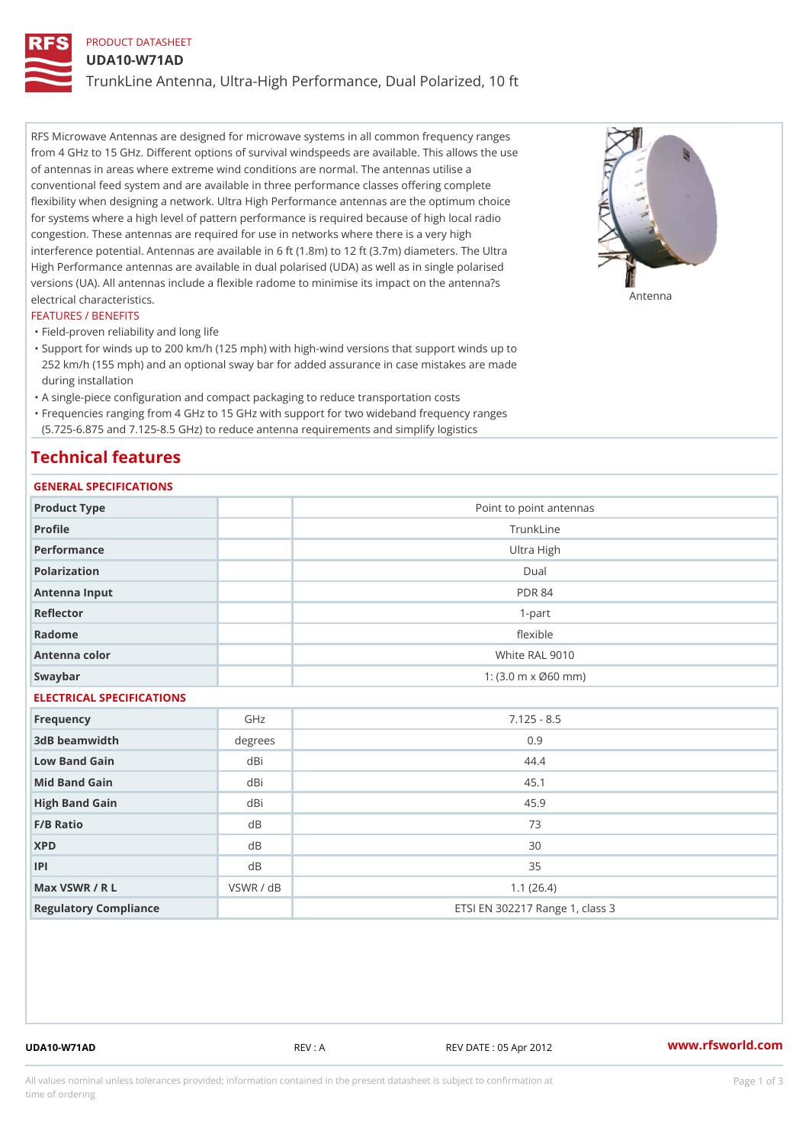# PRODUCT DATASHEET

#### UDA10-W71AD

TrunkLine Antenna, Ultra-High Performance, Dual Polarized, 10 ft

RFS Microwave Antennas are designed for microwave systems in all common frequency ranges from 4 GHz to 15 GHz. Different options of survival windspeeds are available. This allows the use of antennas in areas where extreme wind conditions are normal. The antennas utilise a conventional feed system and are available in three performance classes offering complete flexibility when designing a network. Ultra High Performance antennas are the optimum choice for systems where a high level of pattern performance is required because of high local radio congestion. These antennas are required for use in networks where there is a very high interference potential. Antennas are available in 6 ft (1.8m) to 12 ft (3.7m) diameters. The Ultra High Performance antennas are available in dual polarised (UDA) as well as in single polarised versions (UA). All antennas include a flexible radome to minimise its impact on the antenna?s electrical characteristics. Antenna

#### FEATURES / BENEFITS

"Field-proven reliability and long life

- Support for winds up to 200 km/h (125 mph) with high-wind versions that support winds up to " 252 km/h (155 mph) and an optional sway bar for added assurance in case mistakes are made during installation
- "A single-piece configuration and compact packaging to reduce transportation costs
- Frequencies ranging from 4 GHz to 15 GHz with support for two wideband frequency ranges "
- (5.725-6.875 and 7.125-8.5 GHz) to reduce antenna requirements and simplify logistics

### Technical features

### GENERAL SPECIFICATIONS

|                           | GENERAL SELGIFICATIONS |                                                         |  |  |  |  |  |
|---------------------------|------------------------|---------------------------------------------------------|--|--|--|--|--|
| Product Type              |                        | Point to point antennas                                 |  |  |  |  |  |
| Profile                   |                        | TrunkLine                                               |  |  |  |  |  |
| Performance               |                        | Ultra High                                              |  |  |  |  |  |
| Polarization              |                        | $D$ ual                                                 |  |  |  |  |  |
| Antenna Input             |                        | <b>PDR 84</b>                                           |  |  |  |  |  |
| Reflector                 |                        | $1 - p$ art                                             |  |  |  |  |  |
| Radome                    |                        | flexible                                                |  |  |  |  |  |
| Antenna color             |                        | White RAL 9010                                          |  |  |  |  |  |
| Swaybar                   |                        | 1: $(3.0 \, \text{m} \times \emptyset 60 \, \text{mm})$ |  |  |  |  |  |
| ELECTRICAL SPECIFICATIONS |                        |                                                         |  |  |  |  |  |
| Frequency                 | GHz                    | $7.125 - 8.5$                                           |  |  |  |  |  |
| 3dB beamwidth             | degrees                | 0.9                                                     |  |  |  |  |  |
| Low Band Gain             | dBi                    | 44.4                                                    |  |  |  |  |  |
| Mid Band Gain             | dBi                    | 45.1                                                    |  |  |  |  |  |
| High Band Gain            | dBi                    | 45.9                                                    |  |  |  |  |  |
| F/B Ratio                 | d B                    | 73                                                      |  |  |  |  |  |
| <b>XPD</b>                | $d$ B                  | 30                                                      |  |  |  |  |  |
| P                         | d B                    | 35                                                      |  |  |  |  |  |
| Max VSWR / R L            | VSWR / dB              | 1.1(26.4)                                               |  |  |  |  |  |
| Regulatory Compliance     |                        | ETSI EN 302217 Range 1, class 3                         |  |  |  |  |  |

UDA10-W71AD REV : A REV DATE : 05 Apr 2012 [www.](https://www.rfsworld.com)rfsworld.com

All values nominal unless tolerances provided; information contained in the present datasheet is subject to Pcapgeign mation time of ordering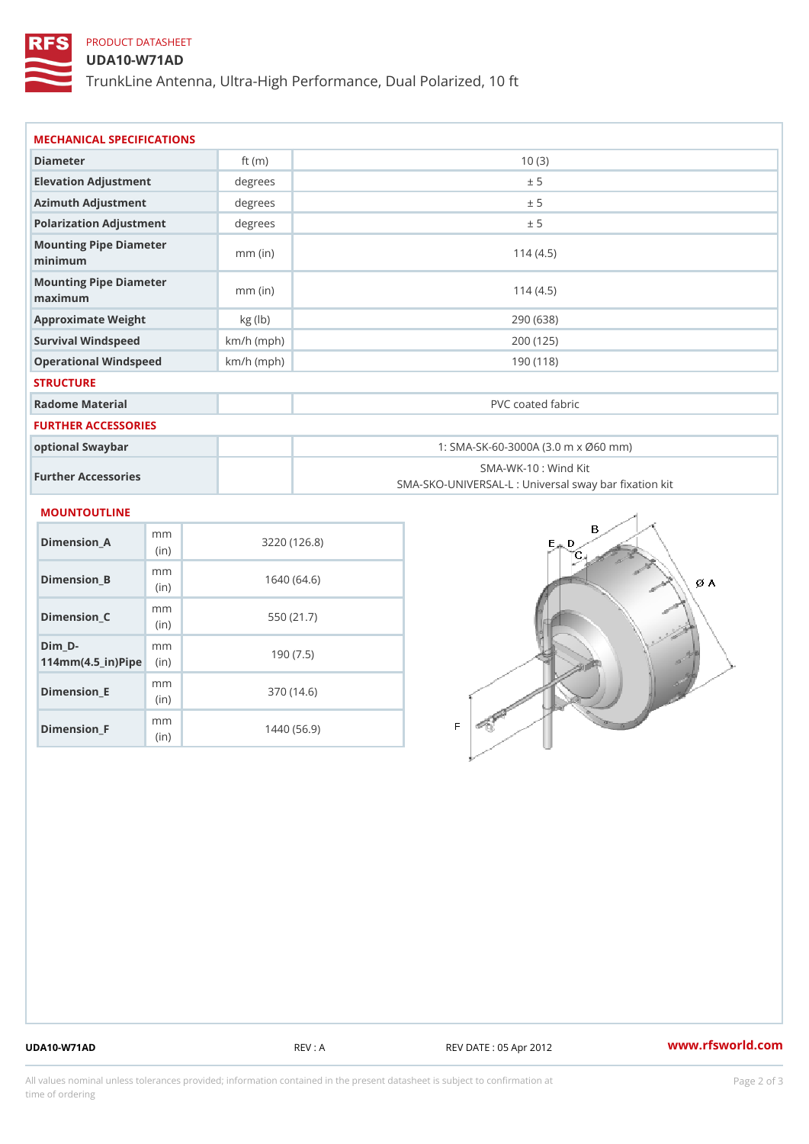## PRODUCT DATASHEET

### UDA10-W71AD

TrunkLine Antenna, Ultra-High Performance, Dual Polarized, 10 ft

| MECHANICAL SPECIFICATIONS                                             |              |                   |                                                                          |  |
|-----------------------------------------------------------------------|--------------|-------------------|--------------------------------------------------------------------------|--|
| Diameter                                                              | ft $(m)$     | 10(3)             |                                                                          |  |
| Elevation Adjustment                                                  | degree       |                   | ± 5                                                                      |  |
| Azimuth Adjustment                                                    | degree:      | ± 5               |                                                                          |  |
| Polarization Adjustment                                               | degrees      | ± 5               |                                                                          |  |
| Mounting Pipe Diameter<br>minimum                                     | $mm$ (in)    | 114(4.5)          |                                                                          |  |
| Mounting Pipe Diameter<br>maximum                                     | $mm$ (in)    |                   | 114(4.5)                                                                 |  |
| Approximate Weight                                                    | kg (lb)      |                   | 290 (638)                                                                |  |
| Survival Windspeed                                                    | $km/h$ (mph) |                   | 200 (125)                                                                |  |
| Operational Windspeed                                                 | $km/h$ (mph) | 190 (118)         |                                                                          |  |
| <b>STRUCTURE</b>                                                      |              |                   |                                                                          |  |
| Radome Material                                                       |              | PVC coated fabric |                                                                          |  |
| <b>FURTHER ACCESSORIES</b>                                            |              |                   |                                                                          |  |
| optional Swaybar                                                      |              |                   | 1: SMA-SK-60-3000A (3.0 m x Ø60 mm)                                      |  |
| Further Accessories                                                   |              |                   | SMA-WK-10: Wind Kit<br>SMA-SKO-UNIVERSAL-L : Universal sway bar fixation |  |
| <b>MOUNTOUTLINE</b>                                                   |              |                   |                                                                          |  |
| m m<br>$Dimension_A$<br>(in)                                          |              | 3220(126.8)       |                                                                          |  |
| m m<br>$Dimension_B$<br>(in)                                          |              | 1640(64.6)        |                                                                          |  |
| m m<br>$Dimension_C$<br>(in)                                          |              | 550 (21.7)        |                                                                          |  |
| $Dim_D - D -$<br>m m<br>$114$ m m (4.5 _ ir ) $\sqrt{$ iip $\sqrt{ }$ |              | 190(7.5)          |                                                                          |  |
|                                                                       |              |                   |                                                                          |  |

Dimension\_E

Dimension\_F

mm (in)

m<sub>m</sub> (in)

370 (14.6)

1440 (56.9)

UDA10-W71AD REV : A REV DATE : 05 Apr 2012 [www.](https://www.rfsworld.com)rfsworld.com